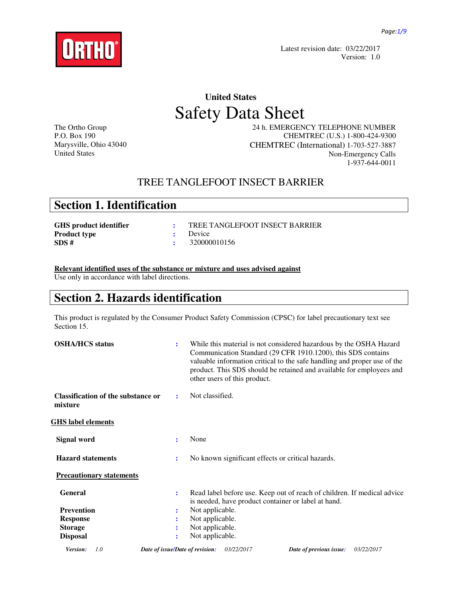

 Latest revision date: 03/22/2017 Version: 1.0

# **United States**  Safety Data Sheet

The Ortho Group P.O. Box 190 Marysville, Ohio 43040 United States

 24 h. EMERGENCY TELEPHONE NUMBER CHEMTREC (U.S.) 1-800-424-9300 CHEMTREC (International) 1-703-527-3887 Non-Emergency Calls 1-937-644-0011

## TREE TANGLEFOOT INSECT BARRIER

## **Section 1. Identification**

| GHS product identifier | TREE TANGLEFOOT INSECT BARRIER |
|------------------------|--------------------------------|
| <b>Product type</b>    | : Device                       |
| SDS #                  | $\cdot$ 320000010156           |

**Relevant identified uses of the substance or mixture and uses advised against**

Use only in accordance with label directions.

## **Section 2. Hazards identification**

This product is regulated by the Consumer Product Safety Commission (CPSC) for label precautionary text see Section 15.

| <b>OSHA/HCS</b> status                               | $\ddot{\cdot}$ | While this material is not considered hazardous by the OSHA Hazard<br>Communication Standard (29 CFR 1910.1200), this SDS contains<br>valuable information critical to the safe handling and proper use of the<br>product. This SDS should be retained and available for employees and<br>other users of this product. |
|------------------------------------------------------|----------------|------------------------------------------------------------------------------------------------------------------------------------------------------------------------------------------------------------------------------------------------------------------------------------------------------------------------|
| <b>Classification of the substance or</b><br>mixture | ÷              | Not classified.                                                                                                                                                                                                                                                                                                        |
| <u>GHS label elements</u>                            |                |                                                                                                                                                                                                                                                                                                                        |
| <b>Signal word</b>                                   | $\ddot{\cdot}$ | None                                                                                                                                                                                                                                                                                                                   |
| <b>Hazard statements</b>                             | $\ddot{\cdot}$ | No known significant effects or critical hazards.                                                                                                                                                                                                                                                                      |
| <b>Precautionary statements</b>                      |                |                                                                                                                                                                                                                                                                                                                        |
| <b>General</b>                                       | $\ddot{\cdot}$ | Read label before use. Keep out of reach of children. If medical advice<br>is needed, have product container or label at hand.                                                                                                                                                                                         |
| <b>Prevention</b>                                    | ÷              | Not applicable.                                                                                                                                                                                                                                                                                                        |
| <b>Response</b>                                      | ÷              | Not applicable.                                                                                                                                                                                                                                                                                                        |
| <b>Storage</b>                                       | $\ddot{\cdot}$ | Not applicable.                                                                                                                                                                                                                                                                                                        |
| <b>Disposal</b>                                      | $\ddot{\cdot}$ | Not applicable.                                                                                                                                                                                                                                                                                                        |
| Version:<br>1.0                                      |                | 03/22/2017<br>Date of issue/Date of revision:<br>Date of previous issue:<br>03/22/2017                                                                                                                                                                                                                                 |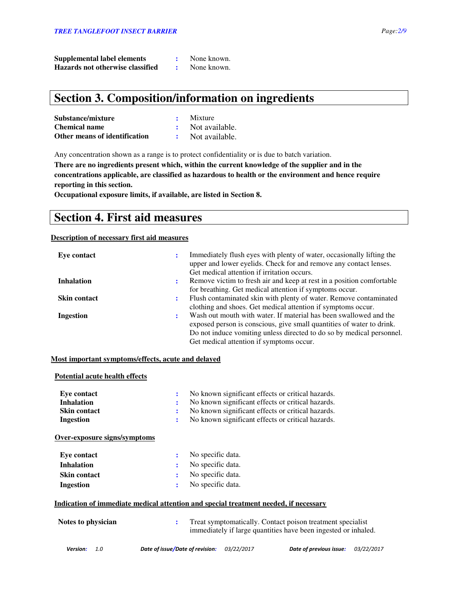| <b>Supplemental label elements</b> | None known. |
|------------------------------------|-------------|
| Hazards not otherwise classified   | None known. |

## **Section 3. Composition/information on ingredients**

| Substance/mixture             | Mixture          |
|-------------------------------|------------------|
| <b>Chemical name</b>          | : Not available. |
| Other means of identification | Not available.   |

Any concentration shown as a range is to protect confidentiality or is due to batch variation.

**There are no ingredients present which, within the current knowledge of the supplier and in the concentrations applicable, are classified as hazardous to health or the environment and hence require reporting in this section.** 

**Occupational exposure limits, if available, are listed in Section 8.**

## **Section 4. First aid measures**

### **Description of necessary first aid measures**

| Eye contact         |           | Immediately flush eyes with plenty of water, occasionally lifting the<br>upper and lower eyelids. Check for and remove any contact lenses.<br>Get medical attention if irritation occurs.                                                                       |
|---------------------|-----------|-----------------------------------------------------------------------------------------------------------------------------------------------------------------------------------------------------------------------------------------------------------------|
| <b>Inhalation</b>   |           | Remove victim to fresh air and keep at rest in a position comfortable<br>for breathing. Get medical attention if symptoms occur.                                                                                                                                |
| <b>Skin contact</b> | $\bullet$ | Flush contaminated skin with plenty of water. Remove contaminated<br>clothing and shoes. Get medical attention if symptoms occur.                                                                                                                               |
| Ingestion           |           | Wash out mouth with water. If material has been swallowed and the<br>exposed person is conscious, give small quantities of water to drink.<br>Do not induce vomiting unless directed to do so by medical personnel.<br>Get medical attention if symptoms occur. |

### **Most important symptoms/effects, acute and delayed**

### **Potential acute health effects**

| Eve contact<br><b>Inhalation</b><br><b>Skin contact</b><br><b>Ingestion</b> | ÷<br>$\bullet$<br>÷ | No known significant effects or critical hazards.<br>No known significant effects or critical hazards.<br>No known significant effects or critical hazards.<br>No known significant effects or critical hazards. |
|-----------------------------------------------------------------------------|---------------------|------------------------------------------------------------------------------------------------------------------------------------------------------------------------------------------------------------------|
| Over-exposure signs/symptoms                                                |                     |                                                                                                                                                                                                                  |
| Eye contact                                                                 | ٠.                  | No specific data.                                                                                                                                                                                                |
| <b>Inhalation</b>                                                           | $\bullet$           | No specific data.                                                                                                                                                                                                |
| <b>Skin contact</b>                                                         | ٠.                  | No specific data.                                                                                                                                                                                                |
| <b>Ingestion</b>                                                            | ÷                   | No specific data.                                                                                                                                                                                                |
|                                                                             |                     | <u>Indication of immediate medical attention and special treatment needed, if necessary</u>                                                                                                                      |
| Notes to physician                                                          | $\ddot{\cdot}$      | Treat symptomatically. Contact poison treatment specialist<br>immediately if large quantities have been ingested or inhaled.                                                                                     |
|                                                                             |                     |                                                                                                                                                                                                                  |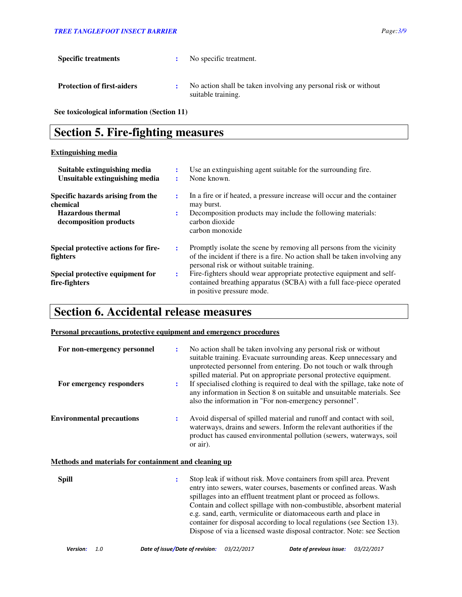| <b>Specific treatments</b>        | No specific treatment.                                                                |
|-----------------------------------|---------------------------------------------------------------------------------------|
| <b>Protection of first-aiders</b> | No action shall be taken involving any personal risk or without<br>suitable training. |

**See toxicological information (Section 11)** 

## **Section 5. Fire-fighting measures**

### **Extinguishing media**

| Suitable extinguishing media<br>Unsuitable extinguishing media                                      |                | Use an extinguishing agent suitable for the surrounding fire.<br>None known.                                                                                                                      |
|-----------------------------------------------------------------------------------------------------|----------------|---------------------------------------------------------------------------------------------------------------------------------------------------------------------------------------------------|
| Specific hazards arising from the<br>chemical<br><b>Hazardous</b> thermal<br>decomposition products | $\ddot{\cdot}$ | In a fire or if heated, a pressure increase will occur and the container<br>may burst.<br>Decomposition products may include the following materials:<br>carbon dioxide<br>carbon monoxide        |
| Special protective actions for fire-<br><b>fighters</b>                                             | ÷              | Promptly isolate the scene by removing all persons from the vicinity<br>of the incident if there is a fire. No action shall be taken involving any<br>personal risk or without suitable training. |
| Special protective equipment for<br>fire-fighters                                                   | ÷              | Fire-fighters should wear appropriate protective equipment and self-<br>contained breathing apparatus (SCBA) with a full face-piece operated<br>in positive pressure mode.                        |

## **Section 6. Accidental release measures**

### **Personal precautions, protective equipment and emergency procedures**

| For non-emergency personnel<br>For emergency responders      | $\ddot{\cdot}$<br>$\ddot{\cdot}$ | No action shall be taken involving any personal risk or without<br>suitable training. Evacuate surrounding areas. Keep unnecessary and<br>unprotected personnel from entering. Do not touch or walk through<br>spilled material. Put on appropriate personal protective equipment.<br>If specialised clothing is required to deal with the spillage, take note of                                                                       |
|--------------------------------------------------------------|----------------------------------|-----------------------------------------------------------------------------------------------------------------------------------------------------------------------------------------------------------------------------------------------------------------------------------------------------------------------------------------------------------------------------------------------------------------------------------------|
|                                                              |                                  | any information in Section 8 on suitable and unsuitable materials. See<br>also the information in "For non-emergency personnel".                                                                                                                                                                                                                                                                                                        |
| <b>Environmental precautions</b>                             | $\ddot{\cdot}$                   | Avoid dispersal of spilled material and runoff and contact with soil,<br>waterways, drains and sewers. Inform the relevant authorities if the<br>product has caused environmental pollution (sewers, waterways, soil<br>or air).                                                                                                                                                                                                        |
| <u>Methods and materials for containment and cleaning up</u> |                                  |                                                                                                                                                                                                                                                                                                                                                                                                                                         |
| <b>Spill</b>                                                 | $\ddot{\cdot}$                   | Stop leak if without risk. Move containers from spill area. Prevent<br>entry into sewers, water courses, basements or confined areas. Wash<br>spillages into an effluent treatment plant or proceed as follows.<br>Contain and collect spillage with non-combustible, absorbent material<br>e.g. sand, earth, vermiculite or diatomaceous earth and place in<br>container for disposal according to local regulations (see Section 13). |

Dispose of via a licensed waste disposal contractor. Note: see Section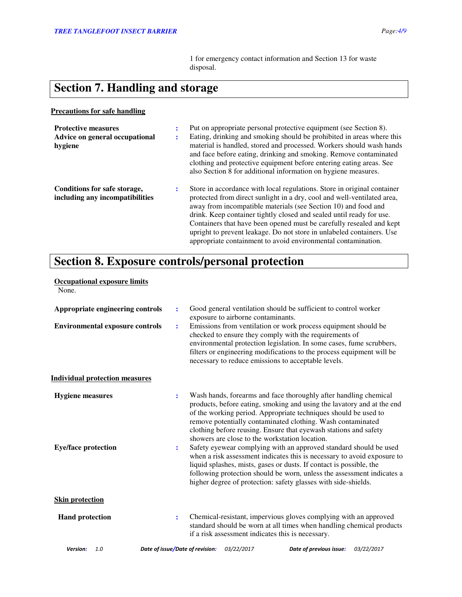1 for emergency contact information and Section 13 for waste disposal.

# **Section 7. Handling and storage**

### **Precautions for safe handling**

| <b>Protective measures</b><br>Advice on general occupational<br>hygiene | ÷<br>٠<br>$\bullet$ | Put on appropriate personal protective equipment (see Section 8).<br>Eating, drinking and smoking should be prohibited in areas where this<br>material is handled, stored and processed. Workers should wash hands<br>and face before eating, drinking and smoking. Remove contaminated<br>clothing and protective equipment before entering eating areas. See<br>also Section 8 for additional information on hygiene measures.                                                                               |
|-------------------------------------------------------------------------|---------------------|----------------------------------------------------------------------------------------------------------------------------------------------------------------------------------------------------------------------------------------------------------------------------------------------------------------------------------------------------------------------------------------------------------------------------------------------------------------------------------------------------------------|
| Conditions for safe storage,<br>including any incompatibilities         | ÷                   | Store in accordance with local regulations. Store in original container<br>protected from direct sunlight in a dry, cool and well-ventilated area,<br>away from incompatible materials (see Section 10) and food and<br>drink. Keep container tightly closed and sealed until ready for use.<br>Containers that have been opened must be carefully resealed and kept<br>upright to prevent leakage. Do not store in unlabeled containers. Use<br>appropriate containment to avoid environmental contamination. |

# **Section 8. Exposure controls/personal protection**

| <b>Occupational exposure limits</b><br>None.          |                                 |                                    |                                                                                                                                                                                                                                                                                                                                                                                                                                                                                                                                                                                                                                                                                                                                                                       |            |
|-------------------------------------------------------|---------------------------------|------------------------------------|-----------------------------------------------------------------------------------------------------------------------------------------------------------------------------------------------------------------------------------------------------------------------------------------------------------------------------------------------------------------------------------------------------------------------------------------------------------------------------------------------------------------------------------------------------------------------------------------------------------------------------------------------------------------------------------------------------------------------------------------------------------------------|------------|
| Appropriate engineering controls                      | $\ddot{\cdot}$                  | exposure to airborne contaminants. | Good general ventilation should be sufficient to control worker                                                                                                                                                                                                                                                                                                                                                                                                                                                                                                                                                                                                                                                                                                       |            |
| <b>Environmental exposure controls</b>                | $\ddot{\cdot}$                  |                                    | Emissions from ventilation or work process equipment should be<br>checked to ensure they comply with the requirements of<br>environmental protection legislation. In some cases, fume scrubbers,<br>filters or engineering modifications to the process equipment will be<br>necessary to reduce emissions to acceptable levels.                                                                                                                                                                                                                                                                                                                                                                                                                                      |            |
| <b>Individual protection measures</b>                 |                                 |                                    |                                                                                                                                                                                                                                                                                                                                                                                                                                                                                                                                                                                                                                                                                                                                                                       |            |
| <b>Hygiene</b> measures<br><b>Eye/face protection</b> | $\ddot{\cdot}$<br>:             |                                    | Wash hands, forearms and face thoroughly after handling chemical<br>products, before eating, smoking and using the lavatory and at the end<br>of the working period. Appropriate techniques should be used to<br>remove potentially contaminated clothing. Wash contaminated<br>clothing before reusing. Ensure that eyewash stations and safety<br>showers are close to the workstation location.<br>Safety eyewear complying with an approved standard should be used<br>when a risk assessment indicates this is necessary to avoid exposure to<br>liquid splashes, mists, gases or dusts. If contact is possible, the<br>following protection should be worn, unless the assessment indicates a<br>higher degree of protection: safety glasses with side-shields. |            |
| <b>Skin protection</b>                                |                                 |                                    |                                                                                                                                                                                                                                                                                                                                                                                                                                                                                                                                                                                                                                                                                                                                                                       |            |
| <b>Hand protection</b>                                | $\ddot{\cdot}$                  |                                    | Chemical-resistant, impervious gloves complying with an approved<br>standard should be worn at all times when handling chemical products<br>if a risk assessment indicates this is necessary.                                                                                                                                                                                                                                                                                                                                                                                                                                                                                                                                                                         |            |
| Version:<br>1.0                                       | Date of issue/Date of revision: | 03/22/2017                         | Date of previous issue:                                                                                                                                                                                                                                                                                                                                                                                                                                                                                                                                                                                                                                                                                                                                               | 03/22/2017 |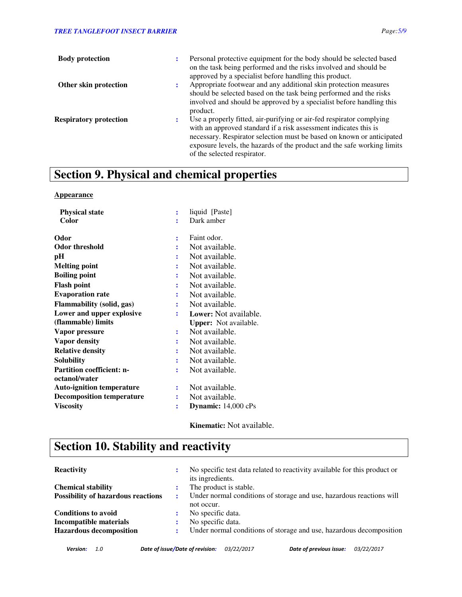| <b>Body protection</b>        | Personal protective equipment for the body should be selected based<br>on the task being performed and the risks involved and should be                                                                                                                                                                                     |
|-------------------------------|-----------------------------------------------------------------------------------------------------------------------------------------------------------------------------------------------------------------------------------------------------------------------------------------------------------------------------|
|                               | approved by a specialist before handling this product.                                                                                                                                                                                                                                                                      |
| Other skin protection         | Appropriate footwear and any additional skin protection measures<br>should be selected based on the task being performed and the risks<br>involved and should be approved by a specialist before handling this<br>product.                                                                                                  |
| <b>Respiratory protection</b> | Use a properly fitted, air-purifying or air-fed respirator complying<br>with an approved standard if a risk assessment indicates this is<br>necessary. Respirator selection must be based on known or anticipated<br>exposure levels, the hazards of the product and the safe working limits<br>of the selected respirator. |

# **Section 9. Physical and chemical properties**

### **Appearance**

| <b>Physical state</b>            |                | liquid [Paste]               |
|----------------------------------|----------------|------------------------------|
| Color                            |                | Dark amber                   |
| Odor                             | $\ddot{\cdot}$ | Faint odor.                  |
| <b>Odor threshold</b>            |                | Not available.               |
| pН                               |                | Not available.               |
| <b>Melting point</b>             |                | Not available.               |
| <b>Boiling point</b>             | ÷              | Not available.               |
| <b>Flash point</b>               |                | Not available.               |
| <b>Evaporation rate</b>          |                | Not available.               |
| <b>Flammability (solid, gas)</b> |                | Not available.               |
| Lower and upper explosive        | ÷              | Lower: Not available.        |
| (flammable) limits               |                | <b>Upper:</b> Not available. |
| Vapor pressure                   |                | Not available.               |
| Vapor density                    |                | Not available.               |
| <b>Relative density</b>          |                | Not available.               |
| <b>Solubility</b>                |                | Not available.               |
| <b>Partition coefficient: n-</b> | ፡              | Not available.               |
| octanol/water                    |                |                              |
| <b>Auto-ignition temperature</b> |                | Not available.               |
| <b>Decomposition temperature</b> | ፡              | Not available.               |
| <b>Viscosity</b>                 | İ              | Dynamic: 14,000 cPs          |
|                                  |                |                              |

**Kinematic:** Not available.

# **Section 10. Stability and reactivity**

| <b>Reactivity</b>                         | ÷  | No specific test data related to reactivity available for this product or<br>its ingredients. |
|-------------------------------------------|----|-----------------------------------------------------------------------------------------------|
| <b>Chemical stability</b>                 | ٠. | The product is stable.                                                                        |
| <b>Possibility of hazardous reactions</b> | ÷  | Under normal conditions of storage and use, hazardous reactions will                          |
|                                           |    | not occur.                                                                                    |
| <b>Conditions to avoid</b>                | :  | No specific data.                                                                             |
| Incompatible materials                    |    | No specific data.                                                                             |
| <b>Hazardous decomposition</b>            | ٠. | Under normal conditions of storage and use, hazardous decomposition                           |
|                                           |    |                                                                                               |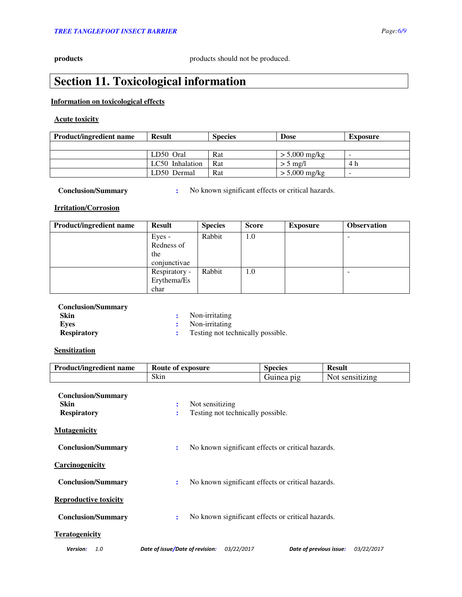**products products products products products products produced.** 

# **Section 11. Toxicological information**

### **Information on toxicological effects**

### **Acute toxicity**

| <b>Product/ingredient name</b> | <b>Result</b>   | <b>Species</b> | <b>Dose</b>     | <b>Exposure</b>          |
|--------------------------------|-----------------|----------------|-----------------|--------------------------|
|                                |                 |                |                 |                          |
|                                | LD50 Oral       | Rat            | $> 5,000$ mg/kg | $\overline{\phantom{0}}$ |
|                                | LC50 Inhalation | Rat            | $> 5$ mg/l      | 4 h                      |
|                                | LD50 Dermal     | Rat            | $> 5,000$ mg/kg | $\overline{\phantom{0}}$ |

**Conclusion/Summary :** No known significant effects or critical hazards.

### **Irritation/Corrosion**

| <b>Product/ingredient name</b> | <b>Result</b>                        | <b>Species</b> | <b>Score</b> | <b>Exposure</b> | <b>Observation</b> |
|--------------------------------|--------------------------------------|----------------|--------------|-----------------|--------------------|
|                                | Eyes -<br>Redness of                 | Rabbit         | 1.0          |                 |                    |
|                                | the<br>conjunctivae                  |                |              |                 |                    |
|                                | Respiratory -<br>Erythema/Es<br>char | Rabbit         | 1.0          |                 |                    |

| <b>Conclusion/Summary</b> |                                   |
|---------------------------|-----------------------------------|
| Skin                      | Non-irritating                    |
| Eves                      | : Non-irritating                  |
| <b>Respiratory</b>        | Testing not technically possible. |

### **Sensitization**

| <b>Product/ingredient name</b>                                 | Route of exposure                                                   | <b>Species</b>          | <b>Result</b>   |
|----------------------------------------------------------------|---------------------------------------------------------------------|-------------------------|-----------------|
|                                                                | Skin                                                                | Guinea pig              | Not sensitizing |
| <b>Conclusion/Summary</b><br><b>Skin</b><br><b>Respiratory</b> | Not sensitizing<br>÷<br>Testing not technically possible.<br>÷      |                         |                 |
| <b>Mutagenicity</b>                                            |                                                                     |                         |                 |
| <b>Conclusion/Summary</b>                                      | No known significant effects or critical hazards.<br>÷              |                         |                 |
| Carcinogenicity                                                |                                                                     |                         |                 |
| <b>Conclusion/Summary</b>                                      | No known significant effects or critical hazards.<br>$\ddot{\cdot}$ |                         |                 |
| <b>Reproductive toxicity</b>                                   |                                                                     |                         |                 |
| <b>Conclusion/Summary</b>                                      | No known significant effects or critical hazards.<br>÷              |                         |                 |
| <b>Teratogenicity</b>                                          |                                                                     |                         |                 |
| 1.0<br>Version:                                                | Date of issue/Date of revision:<br>03/22/2017                       | Date of previous issue: | 03/22/2017      |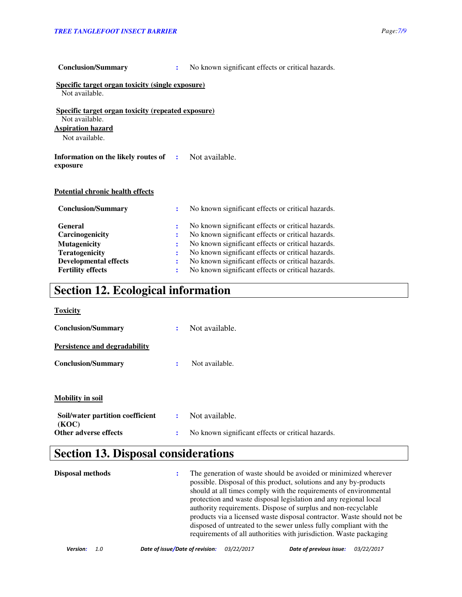| Specific target organ toxicity (single exposure)<br>Not available.          |              |                                                   |
|-----------------------------------------------------------------------------|--------------|---------------------------------------------------|
| <b>Specific target organ toxicity (repeated exposure)</b><br>Not available. |              |                                                   |
| <b>Aspiration hazard</b>                                                    |              |                                                   |
| Not available.                                                              |              |                                                   |
| Information on the likely routes of<br>exposure                             | $\mathbf{L}$ | Not available.                                    |
| <b>Potential chronic health effects</b>                                     |              |                                                   |
| <b>Conclusion/Summary</b>                                                   | ÷            | No known significant effects or critical hazards. |
| <b>General</b>                                                              |              | No known significant effects or critical hazards. |
| Carcinogenicity                                                             | :            | No known significant effects or critical hazards. |
| <b>Mutagenicity</b>                                                         |              | No known significant effects or critical hazards. |
| <b>Teratogenicity</b>                                                       |              | No known significant effects or critical hazards. |
| <b>Developmental effects</b>                                                |              | No known significant effects or critical hazards. |
| <b>Fertility effects</b>                                                    | :            | No known significant effects or critical hazards. |

**Conclusion/Summary :** No known significant effects or critical hazards.

# **Section 12. Ecological information**

| <b>Toxicity</b>                           |                      |                                                   |
|-------------------------------------------|----------------------|---------------------------------------------------|
| <b>Conclusion/Summary</b>                 | $\ddot{\phantom{a}}$ | Not available.                                    |
| Persistence and degradability             |                      |                                                   |
| <b>Conclusion/Summary</b>                 | $\ddot{\cdot}$       | Not available.                                    |
|                                           |                      |                                                   |
| <b>Mobility in soil</b>                   |                      |                                                   |
| Soil/water partition coefficient<br>(KOC) | ÷                    | Not available.                                    |
| Other adverse effects                     | $\ddot{\cdot}$       | No known significant effects or critical hazards. |

# **Section 13. Disposal considerations**

| <b>Disposal methods</b> | ÷ | The generation of waste should be avoided or minimized wherever<br>possible. Disposal of this product, solutions and any by-products<br>should at all times comply with the requirements of environmental<br>protection and waste disposal legislation and any regional local<br>authority requirements. Dispose of surplus and non-recyclable<br>products via a licensed waste disposal contractor. Waste should not be<br>disposed of untreated to the sewer unless fully compliant with the<br>requirements of all authorities with jurisdiction. Waste packaging |
|-------------------------|---|----------------------------------------------------------------------------------------------------------------------------------------------------------------------------------------------------------------------------------------------------------------------------------------------------------------------------------------------------------------------------------------------------------------------------------------------------------------------------------------------------------------------------------------------------------------------|
|-------------------------|---|----------------------------------------------------------------------------------------------------------------------------------------------------------------------------------------------------------------------------------------------------------------------------------------------------------------------------------------------------------------------------------------------------------------------------------------------------------------------------------------------------------------------------------------------------------------------|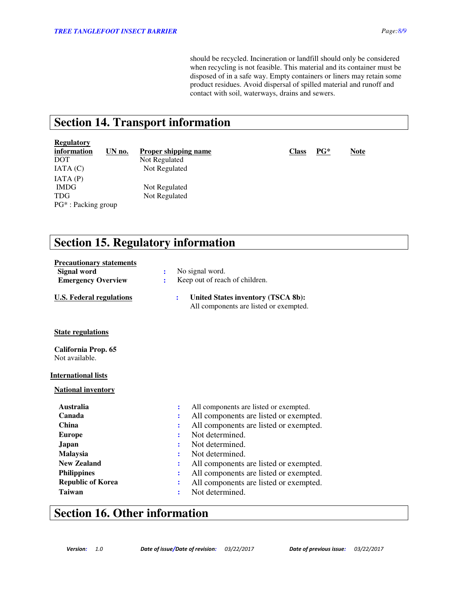should be recycled. Incineration or landfill should only be considered when recycling is not feasible. This material and its container must be disposed of in a safe way. Empty containers or liners may retain some product residues. Avoid dispersal of spilled material and runoff and contact with soil, waterways, drains and sewers.

## **Section 14. Transport information**

### **Regulatory**

| information        | UN no. | Р |
|--------------------|--------|---|
| DOT                |        | N |
| IATA (C)           |        |   |
| IATA(P)            |        |   |
| <b>IMDG</b>        |        |   |
| TDG                |        |   |
| PG*: Packing group |        |   |

Vot Regulated Not Regulated Not Regulated Not Regulated

**information UN no. Proper shipping name Class Class PG\* Note** 

# **Section 15. Regulatory information**

| <b>Precautionary statements</b>       |   |                |                                                                                     |
|---------------------------------------|---|----------------|-------------------------------------------------------------------------------------|
| Signal word                           | ÷ |                | No signal word.                                                                     |
| <b>Emergency Overview</b>             | ÷ |                | Keep out of reach of children.                                                      |
| <b>U.S. Federal regulations</b>       |   | ÷              | <b>United States inventory (TSCA 8b):</b><br>All components are listed or exempted. |
| <b>State regulations</b>              |   |                |                                                                                     |
| California Prop. 65<br>Not available. |   |                |                                                                                     |
| <b>International lists</b>            |   |                |                                                                                     |
| <b>National inventory</b>             |   |                |                                                                                     |
| <b>Australia</b>                      |   | $\ddot{\cdot}$ | All components are listed or exempted.                                              |
| Canada                                |   |                | All components are listed or exempted.                                              |
| <b>China</b>                          |   |                | All components are listed or exempted.                                              |
| <b>Europe</b>                         |   |                | Not determined.                                                                     |
| Japan                                 |   |                | Not determined.                                                                     |
| Malaysia                              |   |                | Not determined.                                                                     |
| <b>New Zealand</b>                    |   |                | All components are listed or exempted.                                              |
| <b>Philippines</b>                    |   |                | All components are listed or exempted.                                              |
| <b>Republic of Korea</b>              |   |                | All components are listed or exempted.                                              |
| <b>Taiwan</b>                         |   | $\ddot{\cdot}$ | Not determined.                                                                     |

## **Section 16. Other information**